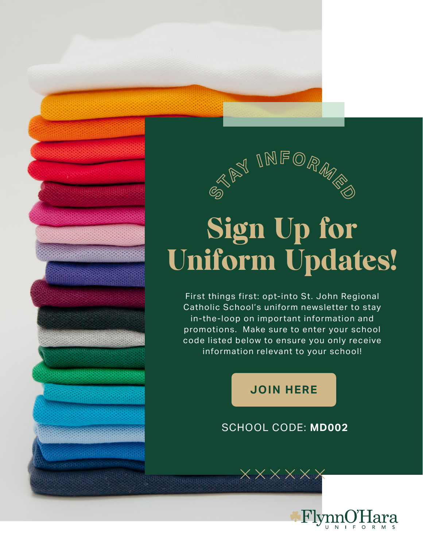

## Sign Up for Uniform Updates!

First things first: opt-into St. John Regional Catholic School's uniform newsletter to stay in-the-loop on impor tant information and promotions. Make sure to enter your school code listed below to ensure you only receive information relevant to your school!

## **[JOIN HERE](https://flynnohara.com/join-our-email-list/)**

## SCHOOL CODE: **MD002**

 $\overline{\mathsf{y}}$   $\overline{\mathsf{y}}$   $\overline{\mathsf{y}}$   $\overline{\mathsf{y}}$   $\overline{\mathsf{y}}$   $\overline{\mathsf{y}}$   $\overline{\mathsf{y}}$   $\overline{\mathsf{y}}$   $\overline{\mathsf{y}}$   $\overline{\mathsf{y}}$